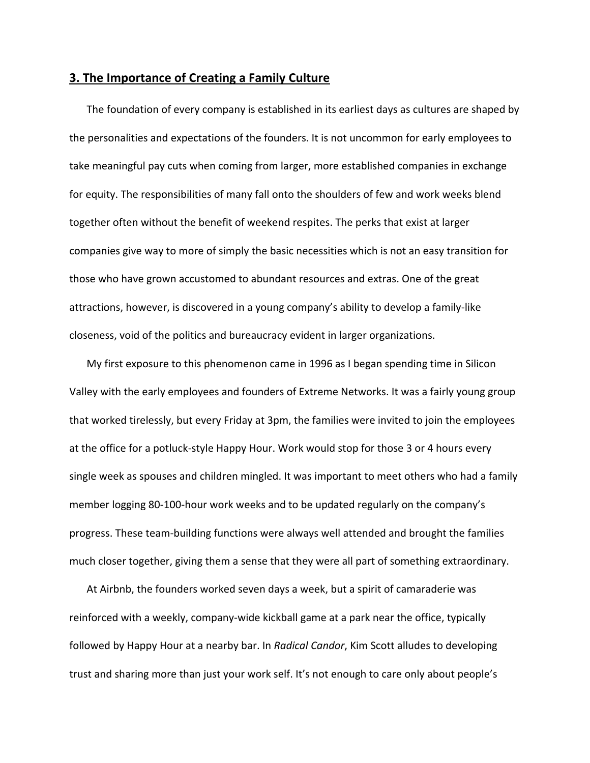## **3. The Importance of Creating a Family Culture**

The foundation of every company is established in its earliest days as cultures are shaped by the personalities and expectations of the founders. It is not uncommon for early employees to take meaningful pay cuts when coming from larger, more established companies in exchange for equity. The responsibilities of many fall onto the shoulders of few and work weeks blend together often without the benefit of weekend respites. The perks that exist at larger companies give way to more of simply the basic necessities which is not an easy transition for those who have grown accustomed to abundant resources and extras. One of the great attractions, however, is discovered in a young company's ability to develop a family‐like closeness, void of the politics and bureaucracy evident in larger organizations.

My first exposure to this phenomenon came in 1996 as I began spending time in Silicon Valley with the early employees and founders of Extreme Networks. It was a fairly young group that worked tirelessly, but every Friday at 3pm, the families were invited to join the employees at the office for a potluck‐style Happy Hour. Work would stop for those 3 or 4 hours every single week as spouses and children mingled. It was important to meet others who had a family member logging 80‐100‐hour work weeks and to be updated regularly on the company's progress. These team‐building functions were always well attended and brought the families much closer together, giving them a sense that they were all part of something extraordinary.

At Airbnb, the founders worked seven days a week, but a spirit of camaraderie was reinforced with a weekly, company‐wide kickball game at a park near the office, typically followed by Happy Hour at a nearby bar. In *Radical Candor*, Kim Scott alludes to developing trust and sharing more than just your work self. It's not enough to care only about people's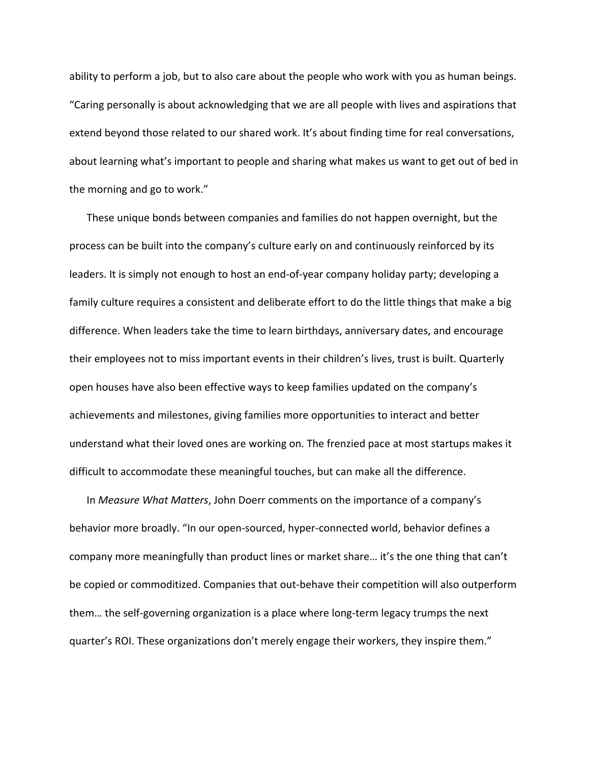ability to perform a job, but to also care about the people who work with you as human beings. "Caring personally is about acknowledging that we are all people with lives and aspirations that extend beyond those related to our shared work. It's about finding time for real conversations, about learning what's important to people and sharing what makes us want to get out of bed in the morning and go to work."

These unique bonds between companies and families do not happen overnight, but the process can be built into the company's culture early on and continuously reinforced by its leaders. It is simply not enough to host an end‐of‐year company holiday party; developing a family culture requires a consistent and deliberate effort to do the little things that make a big difference. When leaders take the time to learn birthdays, anniversary dates, and encourage their employees not to miss important events in their children's lives, trust is built. Quarterly open houses have also been effective ways to keep families updated on the company's achievements and milestones, giving families more opportunities to interact and better understand what their loved ones are working on. The frenzied pace at most startups makes it difficult to accommodate these meaningful touches, but can make all the difference.

In *Measure What Matters*, John Doerr comments on the importance of a company's behavior more broadly. "In our open‐sourced, hyper‐connected world, behavior defines a company more meaningfully than product lines or market share… it's the one thing that can't be copied or commoditized. Companies that out‐behave their competition will also outperform them… the self‐governing organization is a place where long‐term legacy trumps the next quarter's ROI. These organizations don't merely engage their workers, they inspire them."